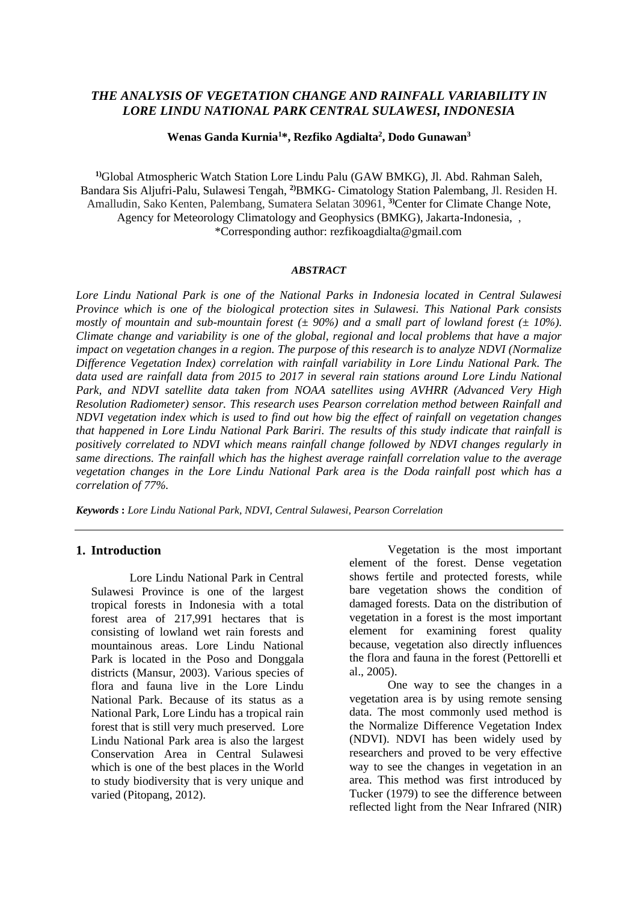# *THE ANALYSIS OF VEGETATION CHANGE AND RAINFALL VARIABILITY IN LORE LINDU NATIONAL PARK CENTRAL SULAWESI, INDONESIA*

**Wenas Ganda Kurnia<sup>1</sup>\*, Rezfiko Agdialta<sup>2</sup> , Dodo Gunawan<sup>3</sup>**

**1)**Global Atmospheric Watch Station Lore Lindu Palu (GAW BMKG), Jl. Abd. Rahman Saleh, Bandara Sis Aljufri-Palu, Sulawesi Tengah, **2)**BMKG- Cimatology Station Palembang, Jl. Residen H. Amalludin, Sako Kenten, Palembang, Sumatera Selatan 30961, **3)**Center for Climate Change Note, Agency for Meteorology Climatology and Geophysics (BMKG), Jakarta-Indonesia, , \*Corresponding author: rezfikoagdialta@gmail.com

#### *ABSTRACT*

*Lore Lindu National Park is one of the National Parks in Indonesia located in Central Sulawesi Province which is one of the biological protection sites in Sulawesi. This National Park consists mostly of mountain and sub-mountain forest* ( $\pm$  90%) and a small part of lowland forest ( $\pm$  10%). *Climate change and variability is one of the global, regional and local problems that have a major impact on vegetation changes in a region. The purpose of this research is to analyze NDVI (Normalize Difference Vegetation Index) correlation with rainfall variability in Lore Lindu National Park. The data used are rainfall data from 2015 to 2017 in several rain stations around Lore Lindu National Park, and NDVI satellite data taken from NOAA satellites using AVHRR (Advanced Very High Resolution Radiometer) sensor. This research uses Pearson correlation method between Rainfall and NDVI vegetation index which is used to find out how big the effect of rainfall on vegetation changes that happened in Lore Lindu National Park Bariri. The results of this study indicate that rainfall is positively correlated to NDVI which means rainfall change followed by NDVI changes regularly in same directions. The rainfall which has the highest average rainfall correlation value to the average vegetation changes in the Lore Lindu National Park area is the Doda rainfall post which has a correlation of 77%.*

*Keywords* **:** *Lore Lindu National Park, NDVI, Central Sulawesi, Pearson Correlation* 

## **1. Introduction**

Lore Lindu National Park in Central Sulawesi Province is one of the largest tropical forests in Indonesia with a total forest area of 217,991 hectares that is consisting of lowland wet rain forests and mountainous areas. Lore Lindu National Park is located in the Poso and Donggala districts (Mansur, 2003). Various species of flora and fauna live in the Lore Lindu National Park. Because of its status as a National Park, Lore Lindu has a tropical rain forest that is still very much preserved. Lore Lindu National Park area is also the largest Conservation Area in Central Sulawesi which is one of the best places in the World to study biodiversity that is very unique and varied (Pitopang, 2012).

Vegetation is the most important element of the forest. Dense vegetation shows fertile and protected forests, while bare vegetation shows the condition of damaged forests. Data on the distribution of vegetation in a forest is the most important element for examining forest quality because, vegetation also directly influences the flora and fauna in the forest (Pettorelli et al., 2005).

One way to see the changes in a vegetation area is by using remote sensing data. The most commonly used method is the Normalize Difference Vegetation Index (NDVI). NDVI has been widely used by researchers and proved to be very effective way to see the changes in vegetation in an area. This method was first introduced by Tucker (1979) to see the difference between reflected light from the Near Infrared (NIR)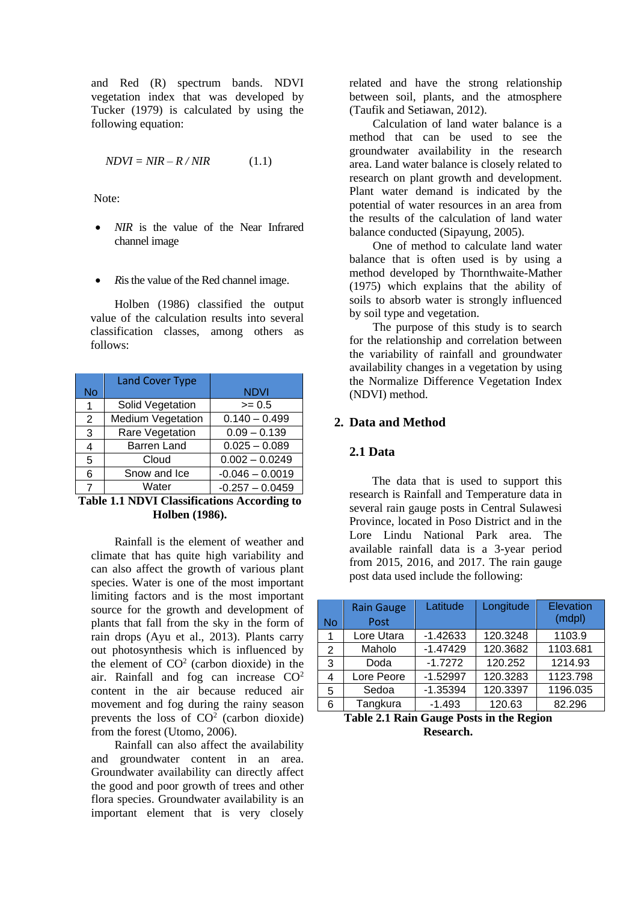and Red (R) spectrum bands. NDVI vegetation index that was developed by Tucker (1979) is calculated by using the following equation:

$$
NDVI = NIR - R/NIR \tag{1.1}
$$

Note:

- *NIR* is the value of the Near Infrared channel image
- *R*is the value of the Red channel image.

Holben (1986) classified the output value of the calculation results into several classification classes, among others as follows:

|    | <b>Land Cover Type</b>   |                   |
|----|--------------------------|-------------------|
| No |                          | <b>NDVI</b>       |
| 1  | Solid Vegetation         | $>= 0.5$          |
| 2  | <b>Medium Vegetation</b> | $0.140 - 0.499$   |
| 3  | Rare Vegetation          | $0.09 - 0.139$    |
| 4  | <b>Barren Land</b>       | $0.025 - 0.089$   |
| 5  | Cloud                    | $0.002 - 0.0249$  |
| 6  | Snow and Ice             | $-0.046 - 0.0019$ |
| 7  | Water                    | $-0.257 - 0.0459$ |

**Table 1.1 NDVI Classifications According to Holben (1986).**

Rainfall is the element of weather and climate that has quite high variability and can also affect the growth of various plant species. Water is one of the most important limiting factors and is the most important source for the growth and development of plants that fall from the sky in the form of rain drops (Ayu et al., 2013). Plants carry out photosynthesis which is influenced by the element of  $CO<sup>2</sup>$  (carbon dioxide) in the air. Rainfall and fog can increase CO<sup>2</sup> content in the air because reduced air movement and fog during the rainy season prevents the loss of  $CO<sup>2</sup>$  (carbon dioxide) from the forest (Utomo, 2006).

Rainfall can also affect the availability and groundwater content in an area. Groundwater availability can directly affect the good and poor growth of trees and other flora species. Groundwater availability is an important element that is very closely related and have the strong relationship between soil, plants, and the atmosphere (Taufik and Setiawan, 2012).

Calculation of land water balance is a method that can be used to see the groundwater availability in the research area. Land water balance is closely related to research on plant growth and development. Plant water demand is indicated by the potential of water resources in an area from the results of the calculation of land water balance conducted (Sipayung, 2005).

One of method to calculate land water balance that is often used is by using a method developed by Thornthwaite-Mather (1975) which explains that the ability of soils to absorb water is strongly influenced by soil type and vegetation.

The purpose of this study is to search for the relationship and correlation between the variability of rainfall and groundwater availability changes in a vegetation by using the Normalize Difference Vegetation Index (NDVI) method.

## **2. Data and Method**

# **2.1 Data**

The data that is used to support this research is Rainfall and Temperature data in several rain gauge posts in Central Sulawesi Province, located in Poso District and in the Lore Lindu National Park area. The available rainfall data is a 3-year period from 2015, 2016, and 2017. The rain gauge post data used include the following:

| No | <b>Rain Gauge</b><br>Post | Latitude   | Longitude | <b>Elevation</b><br>(mdpl) |
|----|---------------------------|------------|-----------|----------------------------|
| 1  | Lore Utara                | $-1.42633$ | 120.3248  | 1103.9                     |
| 2  | Maholo                    | $-1.47429$ | 120.3682  | 1103.681                   |
| 3  | Doda                      | $-1.7272$  | 120.252   | 1214.93                    |
| 4  | Lore Peore                | $-1.52997$ | 120.3283  | 1123.798                   |
| 5  | Sedoa                     | $-1.35394$ | 120.3397  | 1196.035                   |
| 6  | Tangkura                  | $-1.493$   | 120.63    | 82.296                     |

**Table 2.1 Rain Gauge Posts in the Region Research.**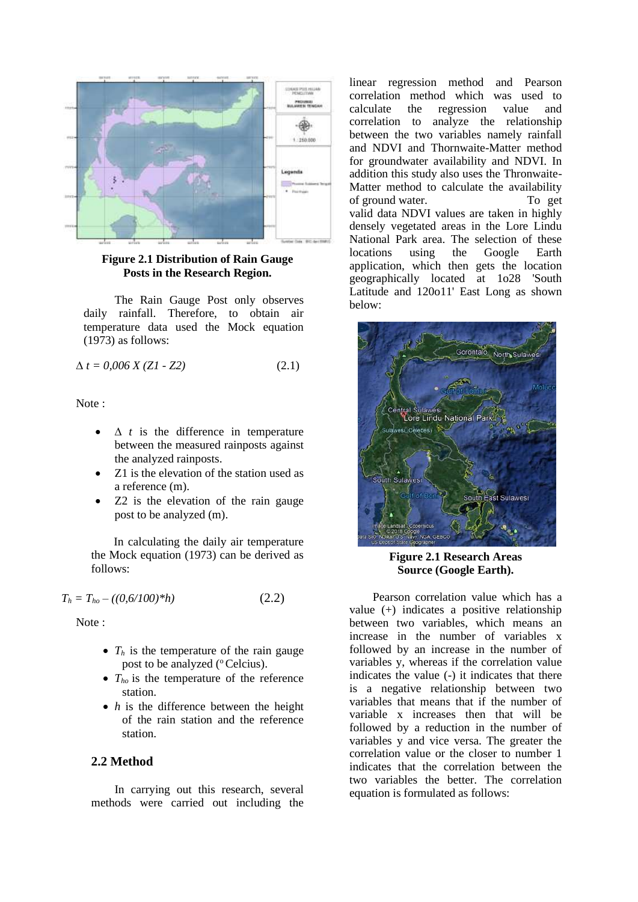

**Figure 2.1 Distribution of Rain Gauge Posts in the Research Region.**

The Rain Gauge Post only observes daily rainfall. Therefore, to obtain air temperature data used the Mock equation (1973) as follows:

$$
\Delta t = 0,006 \, X \, (Z1 - Z2) \tag{2.1}
$$

Note :

- ∆ *t* is the difference in temperature between the measured rainposts against the analyzed rainposts.
- Z1 is the elevation of the station used as a reference (m).
- Z2 is the elevation of the rain gauge post to be analyzed (m).

In calculating the daily air temperature the Mock equation (1973) can be derived as follows:

$$
T_h = T_{ho} - ((0.6/100)^*h)
$$
 (2.2)

Note :

- $T_h$  is the temperature of the rain gauge post to be analyzed ( $^{\circ}$ Celcius).
- $T_{ho}$  is the temperature of the reference station.
- *h* is the difference between the height of the rain station and the reference station.

## **2.2 Method**

In carrying out this research, several methods were carried out including the linear regression method and Pearson correlation method which was used to calculate the regression value and correlation to analyze the relationship between the two variables namely rainfall and NDVI and Thornwaite-Matter method for groundwater availability and NDVI. In addition this study also uses the Thronwaite-Matter method to calculate the availability of ground water. To get valid data NDVI values are taken in highly densely vegetated areas in the Lore Lindu National Park area. The selection of these locations using the Google Earth application, which then gets the location geographically located at 1o28 'South Latitude and 120o11' East Long as shown below:



**Figure 2.1 Research Areas Source (Google Earth).**

Pearson correlation value which has a value (+) indicates a positive relationship between two variables, which means an increase in the number of variables x followed by an increase in the number of variables y, whereas if the correlation value indicates the value (-) it indicates that there is a negative relationship between two variables that means that if the number of variable x increases then that will be followed by a reduction in the number of variables y and vice versa. The greater the correlation value or the closer to number 1 indicates that the correlation between the two variables the better. The correlation equation is formulated as follows: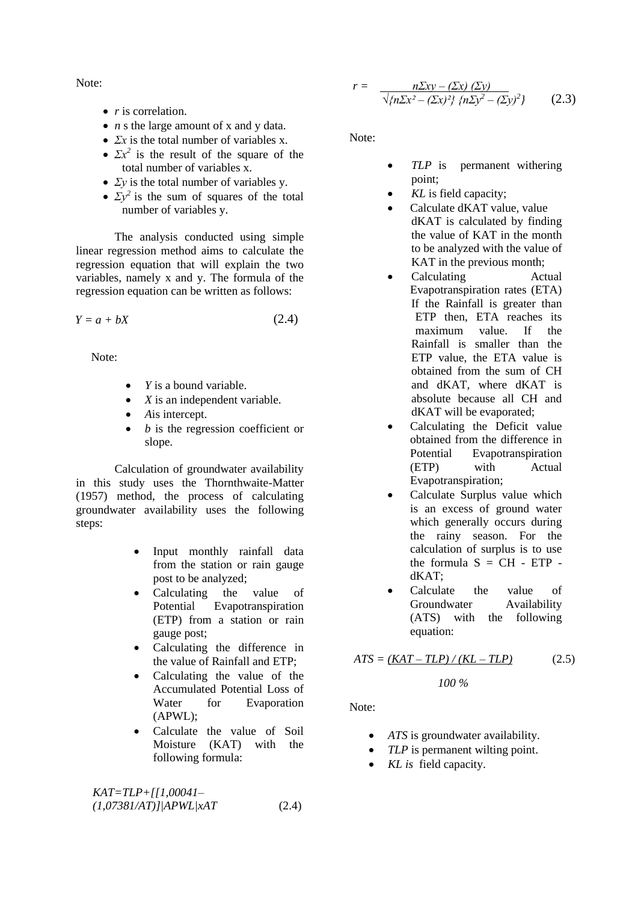Note:

- *r* is correlation.
- *n s* the large amount of *x* and *y* data.
- *Σx* is the total number of variables x.
- $\Sigma x^2$  is the result of the square of the total number of variables x.
- *Σy* is the total number of variables y.
- $\Sigma y^2$  is the sum of squares of the total number of variables y.

The analysis conducted using simple linear regression method aims to calculate the regression equation that will explain the two variables, namely x and y. The formula of the regression equation can be written as follows:

$$
Y = a + bX \tag{2.4}
$$

Note:

- *Y* is a bound variable.
- *X* is an independent variable.
- *A*is intercept.
- *b* is the regression coefficient or slope.

Calculation of groundwater availability in this study uses the Thornthwaite-Matter (1957) method, the process of calculating groundwater availability uses the following steps:

- Input monthly rainfall data from the station or rain gauge post to be analyzed;
- Calculating the value of Potential Evapotranspiration (ETP) from a station or rain gauge post;
- Calculating the difference in the value of Rainfall and ETP;
- Calculating the value of the Accumulated Potential Loss of Water for Evaporation (APWL);
- Calculate the value of Soil Moisture (KAT) with the following formula:

*KAT=TLP+[[1,00041– (1,07381/AT)]|APWL|xAT* (2.4)

$$
r = \frac{n\Sigma xy - (\Sigma x) (\Sigma y)}{\sqrt{\{n\Sigma x^2 - (\Sigma x)^2\} \{n\Sigma y^2 - (\Sigma y)^2\}}} \qquad (2.3)
$$

Note:

- *TLP* is permanent withering point;
- *KL* is field capacity;
- Calculate dKAT value, value dKAT is calculated by finding the value of KAT in the month to be analyzed with the value of KAT in the previous month;
- Calculating Actual Evapotranspiration rates (ETA) If the Rainfall is greater than ETP then, ETA reaches its maximum value. If the Rainfall is smaller than the ETP value, the ETA value is obtained from the sum of CH and dKAT, where dKAT is absolute because all CH and dKAT will be evaporated;
- Calculating the Deficit value obtained from the difference in Potential Evapotranspiration (ETP) with Actual Evapotranspiration;
- Calculate Surplus value which is an excess of ground water which generally occurs during the rainy season. For the calculation of surplus is to use the formula  $S = CH - ETP$ dKAT;
- Calculate the value of Groundwater Availability (ATS) with the following equation:

$$
ATS = \frac{(KAT - TLP)/(KL - TLP)}{2.5}
$$

*100 %*

Note:

- *ATS* is groundwater availability.
- *TLP* is permanent wilting point.
- *KL is* field capacity.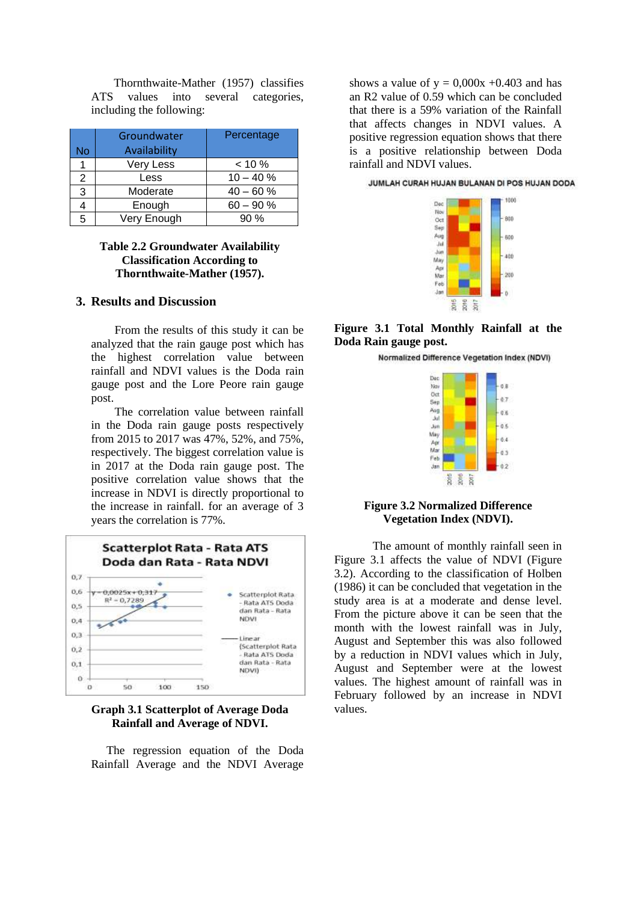Thornthwaite-Mather (1957) classifies ATS values into several categories, including the following:

| No | Groundwater<br>Availability | Percentage   |
|----|-----------------------------|--------------|
| 1  | Very Less                   | $< 10 \%$    |
| 2  | Less                        | $10 - 40 \%$ |
| 3  | Moderate                    | $40 - 60%$   |
|    | Enough                      | $60 - 90 %$  |
| 5  | Very Enough                 | 90%          |

## **Table 2.2 Groundwater Availability Classification According to Thornthwaite-Mather (1957).**

# **3. Results and Discussion**

From the results of this study it can be analyzed that the rain gauge post which has the highest correlation value between rainfall and NDVI values is the Doda rain gauge post and the Lore Peore rain gauge post.

The correlation value between rainfall in the Doda rain gauge posts respectively from 2015 to 2017 was 47%, 52%, and 75%, respectively. The biggest correlation value is in 2017 at the Doda rain gauge post. The positive correlation value shows that the increase in NDVI is directly proportional to the increase in rainfall. for an average of 3 years the correlation is 77%.



### **Graph 3.1 Scatterplot of Average Doda Rainfall and Average of NDVI.**

The regression equation of the Doda Rainfall Average and the NDVI Average

shows a value of  $y = 0,000x +0.403$  and has an R2 value of 0.59 which can be concluded that there is a 59% variation of the Rainfall that affects changes in NDVI values. A positive regression equation shows that there is a positive relationship between Doda rainfall and NDVI values.

JUMLAH CURAH HUJAN BULANAN DI POS HUJAN DODA



**Figure 3.1 Total Monthly Rainfall at the Doda Rain gauge post.**

Normalized Difference Vegetation Index (NDVI)



#### **Figure 3.2 Normalized Difference Vegetation Index (NDVI).**

The amount of monthly rainfall seen in Figure 3.1 affects the value of NDVI (Figure 3.2). According to the classification of Holben (1986) it can be concluded that vegetation in the study area is at a moderate and dense level. From the picture above it can be seen that the month with the lowest rainfall was in July, August and September this was also followed by a reduction in NDVI values which in July, August and September were at the lowest values. The highest amount of rainfall was in February followed by an increase in NDVI values.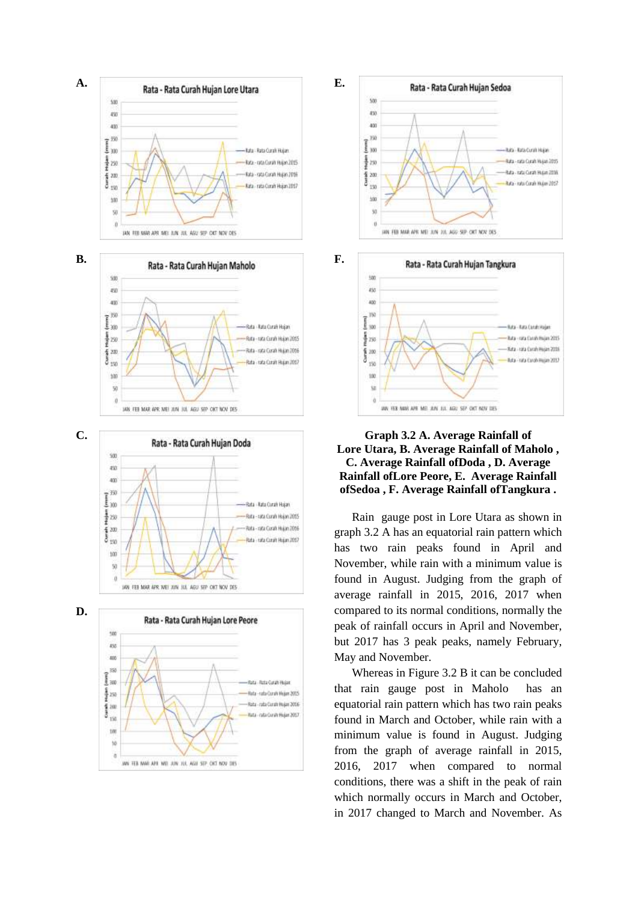











## **Graph 3.2 A. Average Rainfall of Lore Utara, B. Average Rainfall of Maholo , C. Average Rainfall ofDoda , D. Average Rainfall ofLore Peore, E. Average Rainfall ofSedoa , F. Average Rainfall ofTangkura .**

Rain gauge post in Lore Utara as shown in graph 3.2 A has an equatorial rain pattern which has two rain peaks found in April and November, while rain with a minimum value is found in August. Judging from the graph of average rainfall in 2015, 2016, 2017 when compared to its normal conditions, normally the peak of rainfall occurs in April and November, but 2017 has 3 peak peaks, namely February, May and November.

Whereas in Figure 3.2 B it can be concluded that rain gauge post in Maholo has an equatorial rain pattern which has two rain peaks found in March and October, while rain with a minimum value is found in August. Judging from the graph of average rainfall in 2015, 2016, 2017 when compared to normal conditions, there was a shift in the peak of rain which normally occurs in March and October, in 2017 changed to March and November. As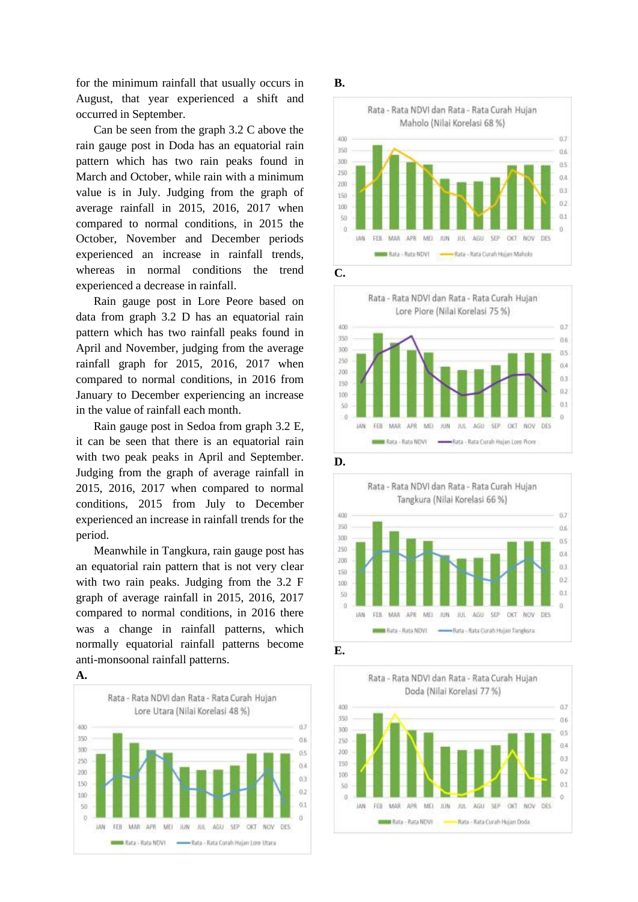for the minimum rainfall that usually occurs in August, that year experienced a shift and occurred in September.

Can be seen from the graph 3.2 C above the rain gauge post in Doda has an equatorial rain pattern which has two rain peaks found in March and October, while rain with a minimum value is in July. Judging from the graph of average rainfall in 2015, 2016, 2017 when compared to normal conditions, in 2015 the October, November and December periods experienced an increase in rainfall trends, whereas in normal conditions the trend experienced a decrease in rainfall.

Rain gauge post in Lore Peore based on data from graph 3.2 D has an equatorial rain pattern which has two rainfall peaks found in April and November, judging from the average rainfall graph for 2015, 2016, 2017 when compared to normal conditions, in 2016 from January to December experiencing an increase in the value of rainfall each month.

Rain gauge post in Sedoa from graph 3.2 E, it can be seen that there is an equatorial rain with two peak peaks in April and September. Judging from the graph of average rainfall in 2015, 2016, 2017 when compared to normal conditions, 2015 from July to December experienced an increase in rainfall trends for the period.

Meanwhile in Tangkura, rain gauge post has an equatorial rain pattern that is not very clear with two rain peaks. Judging from the 3.2 F graph of average rainfall in 2015, 2016, 2017 compared to normal conditions, in 2016 there was a change in rainfall patterns, which normally equatorial rainfall patterns become anti-monsoonal rainfall patterns.





#### **B.**











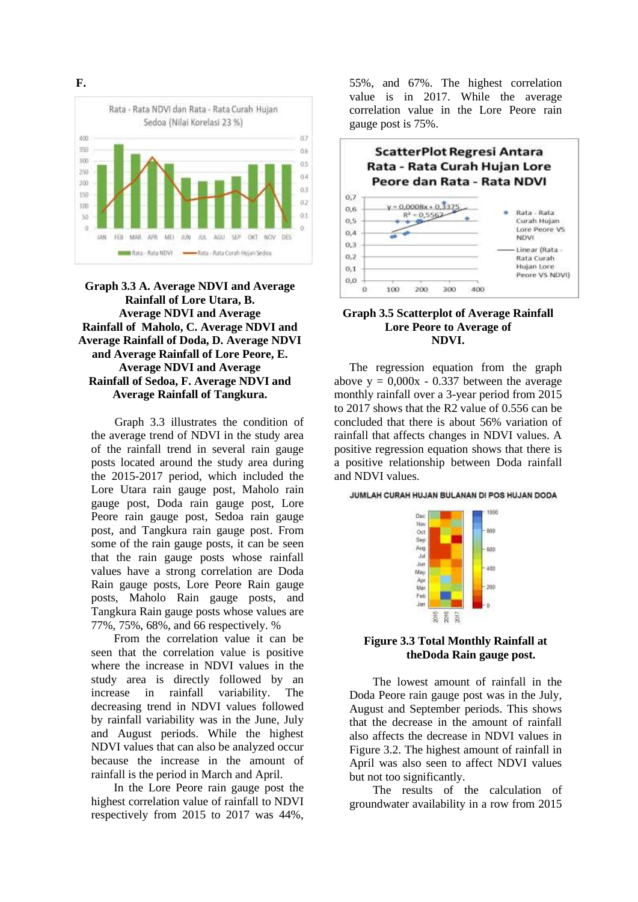

**Graph 3.3 A. Average NDVI and Average Rainfall of Lore Utara, B. Average NDVI and Average Rainfall of Maholo, C. Average NDVI and Average Rainfall of Doda, D. Average NDVI and Average Rainfall of Lore Peore, E. Average NDVI and Average Rainfall of Sedoa, F. Average NDVI and Average Rainfall of Tangkura.**

Graph 3.3 illustrates the condition of the average trend of NDVI in the study area of the rainfall trend in several rain gauge posts located around the study area during the 2015-2017 period, which included the Lore Utara rain gauge post, Maholo rain gauge post, Doda rain gauge post, Lore Peore rain gauge post, Sedoa rain gauge post, and Tangkura rain gauge post. From some of the rain gauge posts, it can be seen that the rain gauge posts whose rainfall values have a strong correlation are Doda Rain gauge posts, Lore Peore Rain gauge posts, Maholo Rain gauge posts, and Tangkura Rain gauge posts whose values are 77%, 75%, 68%, and 66 respectively. %

From the correlation value it can be seen that the correlation value is positive where the increase in NDVI values in the study area is directly followed by an increase in rainfall variability. The decreasing trend in NDVI values followed by rainfall variability was in the June, July and August periods. While the highest NDVI values that can also be analyzed occur because the increase in the amount of rainfall is the period in March and April.

In the Lore Peore rain gauge post the highest correlation value of rainfall to NDVI respectively from 2015 to 2017 was 44%, 55%, and 67%. The highest correlation value is in 2017. While the average correlation value in the Lore Peore rain gauge post is 75%.



### **Graph 3.5 Scatterplot of Average Rainfall Lore Peore to Average of NDVI.**

The regression equation from the graph above  $y = 0.000x - 0.337$  between the average monthly rainfall over a 3-year period from 2015 to 2017 shows that the R2 value of 0.556 can be concluded that there is about 56% variation of rainfall that affects changes in NDVI values. A positive regression equation shows that there is a positive relationship between Doda rainfall and NDVI values.

JUMLAH CURAH HUJAN BULANAN DI POS HUJAN DODA



## **Figure 3.3 Total Monthly Rainfall at theDoda Rain gauge post.**

The lowest amount of rainfall in the Doda Peore rain gauge post was in the July, August and September periods. This shows that the decrease in the amount of rainfall also affects the decrease in NDVI values in Figure 3.2. The highest amount of rainfall in April was also seen to affect NDVI values but not too significantly.

The results of the calculation of groundwater availability in a row from 2015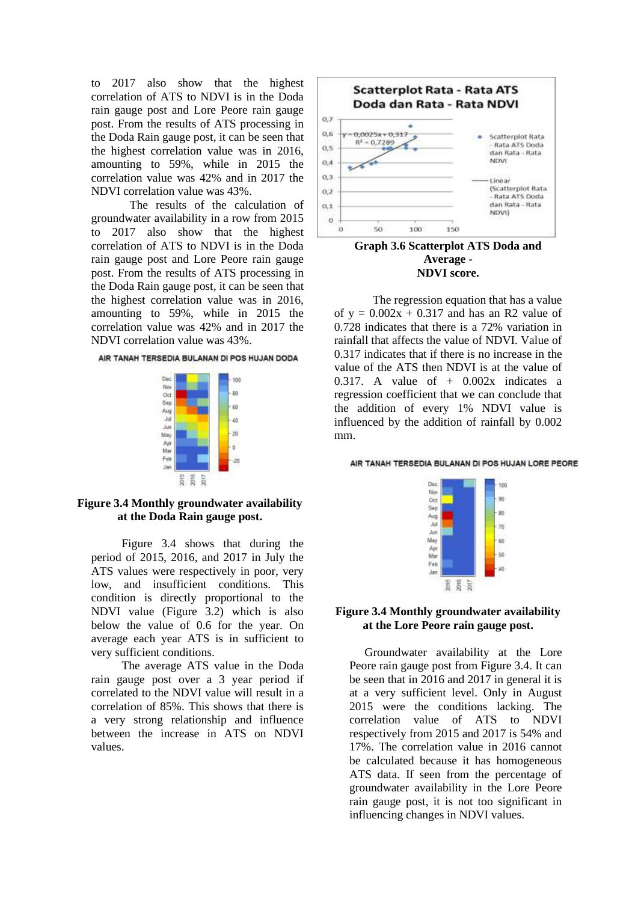to 2017 also show that the highest correlation of ATS to NDVI is in the Doda rain gauge post and Lore Peore rain gauge post. From the results of ATS processing in the Doda Rain gauge post, it can be seen that the highest correlation value was in 2016, amounting to 59%, while in 2015 the correlation value was 42% and in 2017 the NDVI correlation value was 43%.

The results of the calculation of groundwater availability in a row from 2015 to 2017 also show that the highest correlation of ATS to NDVI is in the Doda rain gauge post and Lore Peore rain gauge post. From the results of ATS processing in the Doda Rain gauge post, it can be seen that the highest correlation value was in 2016, amounting to 59%, while in 2015 the correlation value was 42% and in 2017 the NDVI correlation value was 43%.





### **Figure 3.4 Monthly groundwater availability at the Doda Rain gauge post.**

Figure 3.4 shows that during the period of 2015, 2016, and 2017 in July the ATS values were respectively in poor, very low, and insufficient conditions. This condition is directly proportional to the NDVI value (Figure 3.2) which is also below the value of 0.6 for the year. On average each year ATS is in sufficient to very sufficient conditions.

The average ATS value in the Doda rain gauge post over a 3 year period if correlated to the NDVI value will result in a correlation of 85%. This shows that there is a very strong relationship and influence between the increase in ATS on NDVI values.



**Graph 3.6 Scatterplot ATS Doda and Average - NDVI score.**

The regression equation that has a value of  $y = 0.002x + 0.317$  and has an R2 value of 0.728 indicates that there is a 72% variation in rainfall that affects the value of NDVI. Value of 0.317 indicates that if there is no increase in the value of the ATS then NDVI is at the value of 0.317. A value of  $+$  0.002x indicates a regression coefficient that we can conclude that the addition of every 1% NDVI value is influenced by the addition of rainfall by 0.002 mm.

AIR TANAH TERSEDIA BULANAN DI POS HUJAN LORE PEORE



#### **Figure 3.4 Monthly groundwater availability at the Lore Peore rain gauge post.**

Groundwater availability at the Lore Peore rain gauge post from Figure 3.4. It can be seen that in 2016 and 2017 in general it is at a very sufficient level. Only in August 2015 were the conditions lacking. The correlation value of ATS to NDVI respectively from 2015 and 2017 is 54% and 17%. The correlation value in 2016 cannot be calculated because it has homogeneous ATS data. If seen from the percentage of groundwater availability in the Lore Peore rain gauge post, it is not too significant in influencing changes in NDVI values.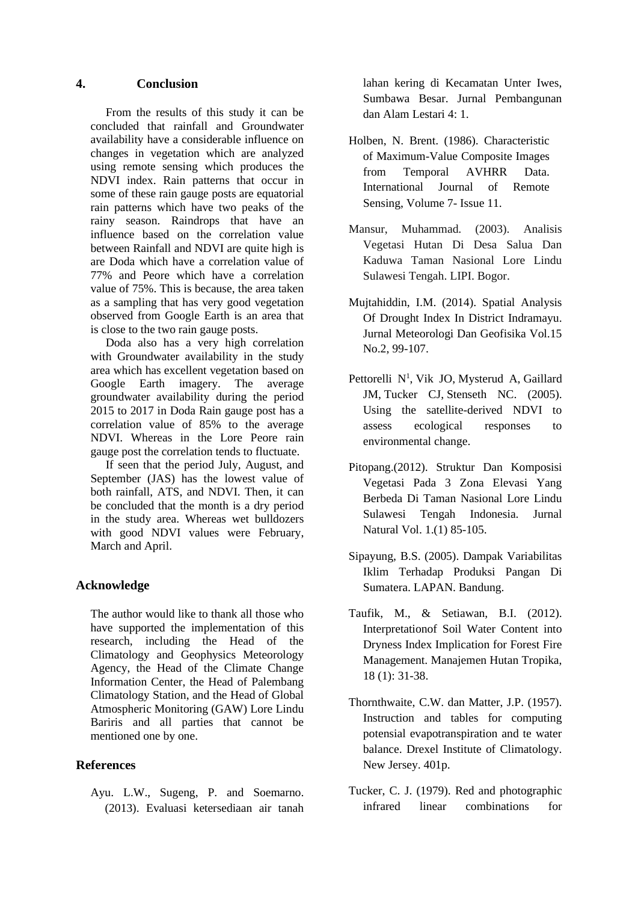## **4. Conclusion**

From the results of this study it can be concluded that rainfall and Groundwater availability have a considerable influence on changes in vegetation which are analyzed using remote sensing which produces the NDVI index. Rain patterns that occur in some of these rain gauge posts are equatorial rain patterns which have two peaks of the rainy season. Raindrops that have an influence based on the correlation value between Rainfall and NDVI are quite high is are Doda which have a correlation value of 77% and Peore which have a correlation value of 75%. This is because, the area taken as a sampling that has very good vegetation observed from Google Earth is an area that is close to the two rain gauge posts.

Doda also has a very high correlation with Groundwater availability in the study area which has excellent vegetation based on Google Earth imagery. The average groundwater availability during the period 2015 to 2017 in Doda Rain gauge post has a correlation value of 85% to the average NDVI. Whereas in the Lore Peore rain gauge post the correlation tends to fluctuate.

If seen that the period July, August, and September (JAS) has the lowest value of both rainfall, ATS, and NDVI. Then, it can be concluded that the month is a dry period in the study area. Whereas wet bulldozers with good NDVI values were February, March and April.

# **Acknowledge**

The author would like to thank all those who have supported the implementation of this research, including the Head of the Climatology and Geophysics Meteorology Agency, the Head of the Climate Change Information Center, the Head of Palembang Climatology Station, and the Head of Global Atmospheric Monitoring (GAW) Lore Lindu Bariris and all parties that cannot be mentioned one by one.

# **References**

Ayu. L.W., Sugeng, P. and Soemarno. (2013). Evaluasi ketersediaan air tanah lahan kering di Kecamatan Unter Iwes, Sumbawa Besar. Jurnal Pembangunan dan Alam Lestari 4: 1.

- Holben, N. Brent. (1986). Characteristic of Maximum-Value Composite Images from Temporal AVHRR Data. International Journal of Remote Sensing, Volume 7- Issue 11.
- Mansur, Muhammad. (2003). Analisis Vegetasi Hutan Di Desa Salua Dan Kaduwa Taman Nasional Lore Lindu Sulawesi Tengah. LIPI. Bogor.
- Mujtahiddin, I.M. (2014). Spatial Analysis Of Drought Index In District Indramayu. Jurnal Meteorologi Dan Geofisika Vol.15 No.2, 99-107.
- [Pettorelli N](https://www.ncbi.nlm.nih.gov/pubmed/?term=Pettorelli%20N%5BAuthor%5D&cauthor=true&cauthor_uid=16701427)<sup>1</sup>, [Vik JO,](https://www.ncbi.nlm.nih.gov/pubmed/?term=Vik%20JO%5BAuthor%5D&cauthor=true&cauthor_uid=16701427) [Mysterud A,](https://www.ncbi.nlm.nih.gov/pubmed/?term=Mysterud%20A%5BAuthor%5D&cauthor=true&cauthor_uid=16701427) Gaillard [JM,](https://www.ncbi.nlm.nih.gov/pubmed/?term=Gaillard%20JM%5BAuthor%5D&cauthor=true&cauthor_uid=16701427) [Tucker CJ,](https://www.ncbi.nlm.nih.gov/pubmed/?term=Tucker%20CJ%5BAuthor%5D&cauthor=true&cauthor_uid=16701427) [Stenseth NC.](https://www.ncbi.nlm.nih.gov/pubmed/?term=Stenseth%20NC%5BAuthor%5D&cauthor=true&cauthor_uid=16701427) (2005). Using the satellite-derived NDVI to assess ecological responses to environmental change.
- Pitopang.(2012). Struktur Dan Komposisi Vegetasi Pada 3 Zona Elevasi Yang Berbeda Di Taman Nasional Lore Lindu Sulawesi Tengah Indonesia. Jurnal Natural Vol. 1.(1) 85-105.
- Sipayung, B.S. (2005). Dampak Variabilitas Iklim Terhadap Produksi Pangan Di Sumatera. LAPAN. Bandung.
- Taufik, M., & Setiawan, B.I. (2012). Interpretationof Soil Water Content into Dryness Index Implication for Forest Fire Management. Manajemen Hutan Tropika, 18 (1): 31-38.
- Thornthwaite, C.W. dan Matter, J.P. (1957). Instruction and tables for computing potensial evapotranspiration and te water balance. Drexel Institute of Climatology. New Jersey. 401p.
- Tucker, C. J. (1979). Red and photographic infrared linear combinations for